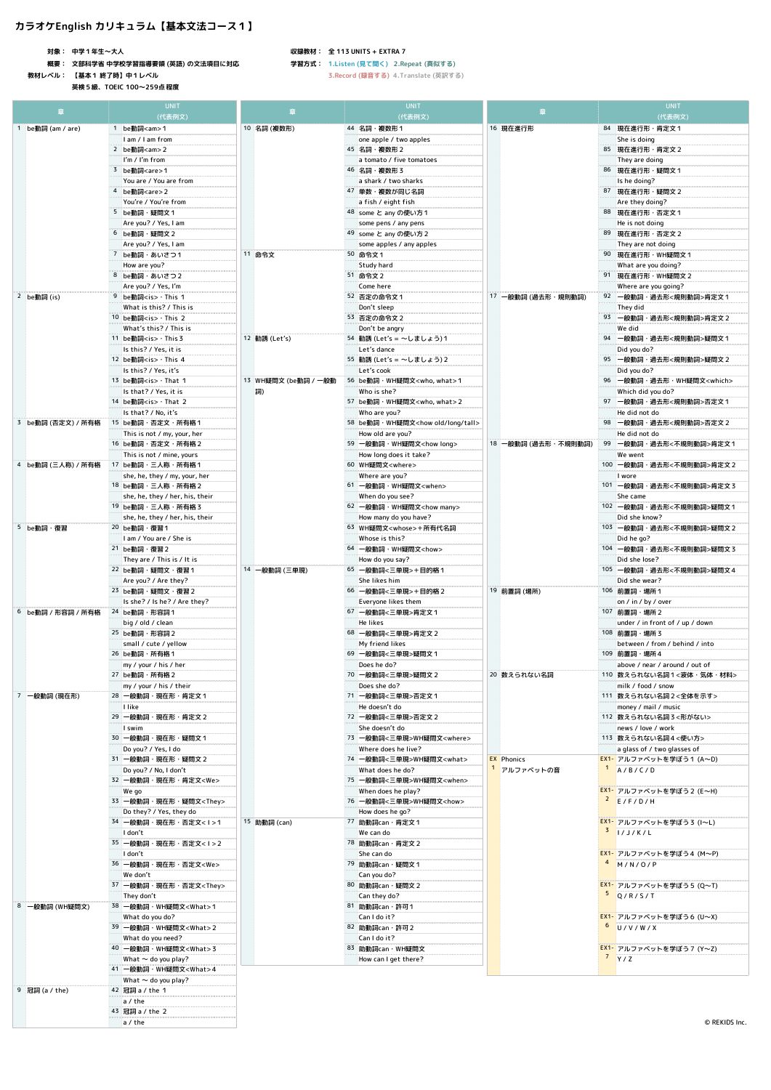## **カラオケEnglish カリキュラム【基本文法コース1】**

**対象: 中学1年生〜大人**

ř.

**概要: 文部科学省 中学校学習指導要領 (英語) の文法項目に対応**

**教材レベル: 【基本1 終了時】中1レベル 英検5級、TOEIC 100〜259点程度**

### **収録教材: 全 113 UNITS + EXTRA 7**

**学習方式: 1.Listen (見て聞く) 2.Repeat (真似する)**

| 1 be動詞 (am / are)  | (代表例文)<br>1 be動詞 <am>1<br/>I am / I am from<br/>2 be動詞<am>2<br/>I'm / I'm from<br/>3 be動詞<are>1<br/>You are / You are from</are></am></am> | 10 名詞 (複数形)                | (代表例文)                                             |                     | (代表例文)                                   |
|--------------------|--------------------------------------------------------------------------------------------------------------------------------------------|----------------------------|----------------------------------------------------|---------------------|------------------------------------------|
|                    |                                                                                                                                            |                            |                                                    |                     |                                          |
|                    |                                                                                                                                            |                            | 44 名詞 · 複数形1                                       | 16 現在進行形            | 84 現在進行形·肯定文1                            |
|                    |                                                                                                                                            |                            | one apple / two apples<br>45 名詞·複数形2               |                     | She is doing<br>85 現在進行形·肯定文 2           |
|                    |                                                                                                                                            |                            |                                                    |                     |                                          |
|                    |                                                                                                                                            |                            | a tomato / five tomatoes<br>46 名詞 · 複数形3           |                     | They are doing<br>86 現在進行形・疑問文1          |
|                    |                                                                                                                                            |                            | a shark / two sharks                               |                     | Is he doing?                             |
|                    | 4 be動詞 <are>2</are>                                                                                                                        |                            | 47 単数 · 複数が同じ名詞                                    |                     | 87 現在進行形·疑問文 2                           |
|                    | You're / You're from                                                                                                                       |                            | a fish / eight fish                                |                     | Are they doing?                          |
|                    | 5 be動詞·疑問文1                                                                                                                                |                            | 48 some と any の使い方1                                |                     | 88 現在進行形·否定文1                            |
|                    | Are you? / Yes, I am                                                                                                                       |                            | some pens / any pens                               |                     | He is not doing                          |
|                    | 6 be動詞·疑問文2                                                                                                                                |                            | 49 some と any の使い方 2                               |                     | 89 現在進行形·否定文 2                           |
|                    | Are you? / Yes, I am                                                                                                                       |                            | some apples / any apples                           |                     | They are not doing                       |
|                    | 7 be動詞・あいさつ1                                                                                                                               | 11 命令文                     | 50 命令文1                                            |                     | 90 現在進行形·WH疑問文1                          |
|                    | How are you?                                                                                                                               |                            | Study hard                                         |                     | What are you doing?                      |
|                    | <b>8 be動詞・あいさつ2</b>                                                                                                                        |                            | 51 命令文2                                            |                     | 91 現在進行形・WH疑問文 2                         |
|                    | Are you? / Yes, I'm                                                                                                                        |                            | Come here                                          |                     | Where are you going?                     |
| 2 be動詞(is)         | 9 be動詞 <is> · This 1</is>                                                                                                                  |                            | 52 否定の命令文1                                         | 17 一般動詞 (過去形·規則動詞)  | 92 一般動詞·過去形<規則動詞>肯定文1                    |
|                    | What is this? / This is                                                                                                                    | 12 勧誘 (Let's)              | Don't sleep                                        |                     | They did                                 |
|                    | 10 be動詞 <is> · This 2</is>                                                                                                                 |                            | 53 否定の命令文2                                         |                     | 93 一般動詞·過去形<規則動詞>肯定文 2                   |
|                    | What's this? / This is                                                                                                                     |                            | Don't be angry                                     |                     | We did                                   |
|                    | 11 be動詞 <is> · This 3</is>                                                                                                                 |                            | 54 勧誘 (Let's = ~しましょう) 1                           |                     | 94 一般動詞·過去形<規則動詞>疑問文1                    |
|                    | Is this? / Yes, it is                                                                                                                      |                            | Let's dance                                        |                     | Did you do?                              |
|                    | 12 be動詞 <is> · This 4</is>                                                                                                                 |                            | 55 勧誘 (Let's = ~しましょう) 2                           |                     | 95 一般動詞·過去形<規則動詞>疑問文2                    |
|                    | Is this? / Yes, it's                                                                                                                       |                            | Let's cook                                         |                     | Did you do?                              |
|                    | 13 be動詞 <is> · That 1</is>                                                                                                                 | 13 WH疑問文 (be動詞 / 一般動<br>詞) | 56 be動詞 · WH疑問文 <who, what="">1</who,>             |                     | 96 一般動詞・過去形・WH疑問文 <which></which>        |
|                    | Is that? / Yes, it is                                                                                                                      |                            | Who is she?                                        |                     | Which did you do?                        |
|                    | 14 be動詞 <is> · That 2</is>                                                                                                                 |                            | 57 be動詞 · WH疑問文 <who, what=""> 2</who,>            |                     | 97 一般動詞·過去形<規則動詞>否定文1                    |
|                    | Is that? / No, it's                                                                                                                        |                            | Who are you?                                       |                     | He did not do                            |
| 3 be動詞 (否定文) / 所有格 | 15 be動詞·否定文·所有格1                                                                                                                           |                            | 58 be動詞 · WH疑問文 <how long="" old="" tall=""></how> |                     | 98 一般動詞·過去形<規則動詞>否定文 2                   |
|                    | This is not / my, your, her                                                                                                                |                            | How old are you?                                   |                     | He did not do                            |
|                    | 16 be動詞·否定文·所有格 2                                                                                                                          |                            | 59 一般動詞 · WH疑問文 <how long=""></how>                | 18 一般動詞 (過去形・不規則動詞) | 99 一般動詞·過去形<不規則動詞>肯定文 1                  |
|                    | This is not / mine, yours                                                                                                                  |                            | How long does it take?                             |                     | We went                                  |
| 4 be動詞 (三人称) / 所有格 | 17 be動詞·三人称·所有格1                                                                                                                           |                            | 60 WH疑問文 <where></where>                           |                     | 100 一般動詞·過去形<不規則動詞>肯定文 2                 |
|                    | she, he, they / my, your, her                                                                                                              |                            | Where are you?                                     |                     | I wore                                   |
|                    | 18 be動詞·三人称·所有格 2                                                                                                                          |                            | 61 一般動詞·WH疑問文 <when></when>                        |                     | 101 一般動詞・過去形<不規則動詞>肯定文3                  |
|                    | she, he, they / her, his, their                                                                                                            |                            | When do you see?                                   |                     | She came                                 |
|                    | 19 be動詞·三人称·所有格 3                                                                                                                          |                            | 62 一般動詞 · WH疑問文 <how many=""></how>                |                     | 102 一般動詞・過去形<不規則動詞>疑問文1                  |
|                    | she, he, they / her, his, their                                                                                                            |                            | How many do you have?                              |                     | Did she know?                            |
| 5 be動詞·復習          | 20 be動詞 · 復習1                                                                                                                              |                            | 63 WH疑問文 <whose>+所有代名詞</whose>                     |                     | 103 一般動詞·過去形<不規則動詞>疑問文 2                 |
|                    | I am / You are / She is                                                                                                                    |                            | Whose is this?                                     |                     | Did he go?                               |
|                    | 21 be動詞 · 復習2                                                                                                                              |                            | 64 一般動詞·WH疑問文 <how></how>                          |                     | 104 一般動詞·過去形<不規則動詞>疑問文3                  |
|                    | They are / This is / It is                                                                                                                 |                            | How do you say?<br>65 一般動詞<三単現>+目的格1               |                     | Did she lose?<br>105 一般動詞・過去形<不規則動詞>疑問文4 |
|                    | 22 be動詞·疑問文·復習1                                                                                                                            | 14 一般動詞 (三単現)              |                                                    |                     |                                          |
|                    | Are you? / Are they?<br>23 be動詞·疑問文·復習2                                                                                                    |                            | She likes him<br>66 一般動詞<三単現>+目的格2                 |                     | Did she wear?<br>106 前置詞・場所1             |
| 6 be動詞 / 形容詞 / 所有格 | Is she? / Is he? / Are they?                                                                                                               |                            |                                                    | 19 前置詞 (場所)         | on / in / by / over                      |
|                    | 24 be動詞 · 形容詞1                                                                                                                             |                            | Everyone likes them<br>67 一般動詞<三単現>肯定文1            |                     | 107 前置詞・場所 2                             |
|                    |                                                                                                                                            |                            | He likes                                           |                     | under / in front of / up / down          |
|                    | big / old / clean<br>25 be動詞 · 形容詞 2                                                                                                       |                            | 68 一般動詞<三単現>肯定文2                                   |                     | 108 前置詞·場所 3                             |
|                    | small / cute / yellow                                                                                                                      |                            | My friend likes                                    |                     | between / from / behind / into           |
|                    | 26 be動詞 · 所有格1                                                                                                                             |                            | 69 一般動詞<三単現>疑問文1                                   |                     | 109 前置詞・場所4                              |
|                    | my / your / his / her                                                                                                                      |                            | Does he do?                                        |                     | above / near / around / out of           |
|                    | 27 be動詞·所有格2                                                                                                                               |                            | 70 一般動詞<三単現>疑問文2                                   | 20 数えられない名詞         | 110 数えられない名詞1<液体・気体・材料>                  |
|                    | my / your / nis / their                                                                                                                    |                            | Does she do?                                       |                     | milk / food / snow                       |
| 7 一般動詞 (現在形)       | 28 一般動詞·現在形·肯定文1                                                                                                                           |                            | 71 一般動詞<三単現>否定文1                                   |                     | 111 数えられない名詞2<全体を示す>                     |
|                    | l like                                                                                                                                     |                            | He doesn't do                                      |                     | money / mail / music                     |
|                    | 29 一般動詞·現在形·肯定文 2                                                                                                                          |                            | 72 一般動詞<三単現>否定文2                                   |                     | 112 数えられない名詞3<形がない>                      |
|                    | I swim                                                                                                                                     |                            | She doesn't do                                     |                     | news / love / work                       |
|                    | 30 一般動詞·現在形·疑問文1                                                                                                                           |                            | 73 一般動詞<三単現>WH疑問文 <where></where>                  |                     | 113 数えられない名詞4<使い方>                       |
|                    | Do you? / Yes, I do                                                                                                                        |                            | Where does he live?                                |                     | a glass of / two glasses of              |
|                    | 31 一般動詞·現在形·疑問文2                                                                                                                           |                            | 74 一般動詞<三単現>WH疑問文 <what></what>                    | <b>EX Phonics</b>   | EX1- アルファベットを学ぼう1 (A~D)                  |
|                    | Do you? / No, I don't                                                                                                                      |                            | What does he do?                                   | アルファベットの音           | 1 A/B/C/D                                |
|                    | 32 一般動詞·現在形·肯定文 <we></we>                                                                                                                  |                            | 75 一般動詞<三単現>WH疑問文 <when></when>                    |                     |                                          |
|                    | We go                                                                                                                                      |                            | When does he play?                                 |                     | EX1- アルファベットを学ぼう2 (E~H)                  |
|                    | 33 一般動詞·現在形·疑問文 <they></they>                                                                                                              |                            | 76 一般動詞<三単現>WH疑問文 <how></how>                      |                     | $2$ E/F/D/H                              |
|                    | Do they? / Yes, they do                                                                                                                    |                            | How does he go?                                    |                     |                                          |
|                    | 34 一般動詞・現在形・否定文<1>1                                                                                                                        | 15 助動詞 (can)               | 77 助動詞can · 肯定文1                                   |                     | EX1- アルファベットを学ぼう3 (I~L)                  |
|                    | I don't                                                                                                                                    |                            | We can do                                          |                     | $3$ 1/J/K/L                              |
|                    | 35 一般動詞·現在形·否定文<1>2                                                                                                                        |                            | 78 助動詞can · 肯定文 2                                  |                     |                                          |
|                    | I don't                                                                                                                                    |                            | She can do                                         |                     | EX1- アルファベットを学ぼう4 (M~P)                  |
|                    | 36 一般動詞·現在形·否定文 <we></we>                                                                                                                  |                            | 79 助動詞can · 疑問文1                                   |                     | $4$ M/N/O/P                              |
|                    |                                                                                                                                            |                            | Can you do?                                        |                     |                                          |
|                    | We don't                                                                                                                                   |                            | 80 助動詞can · 疑問文 2                                  |                     | EX1- アルファベットを学ぼう5 (Q~T)                  |
|                    | 37 一般動詞·現在形·否定文 <they></they>                                                                                                              |                            | Can they do?                                       |                     | $5$ Q/R/S/T                              |
|                    | They don't                                                                                                                                 |                            | 81 助動詞can · 許可1                                    |                     |                                          |
|                    | 38 一般動詞·WH疑問文 <what>1</what>                                                                                                               |                            |                                                    |                     |                                          |
|                    | What do you do?                                                                                                                            |                            | Can I do it?                                       |                     | EX1- アルファベットを学ぼう6 (U~X)                  |
| 8 一般動詞 (WH疑問文)     | 39 一般動詞·WH疑問文 <what>2</what>                                                                                                               |                            | 82 助動詞can · 許可 2                                   |                     | $6$ U/V/W/X                              |
|                    | What do you need?                                                                                                                          |                            | Can I do it?                                       |                     |                                          |
|                    | 40 一般動詞·WH疑問文 <what>3</what>                                                                                                               |                            | 83 助動詞can · WH疑問文                                  |                     | EX1- アルファベットを学ぼう 7 (Y~Z)                 |
|                    | What $\sim$ do you play?                                                                                                                   |                            | How can I get there?                               |                     | $7 + 7$                                  |
|                    | 41 一般動詞·WH疑問文 <what>4</what>                                                                                                               |                            |                                                    |                     |                                          |
|                    | What ~ do you play?                                                                                                                        |                            |                                                    |                     |                                          |
| 9 冠詞(a / the)      | 42 冠詞 a / the 1<br>a / the                                                                                                                 |                            |                                                    |                     |                                          |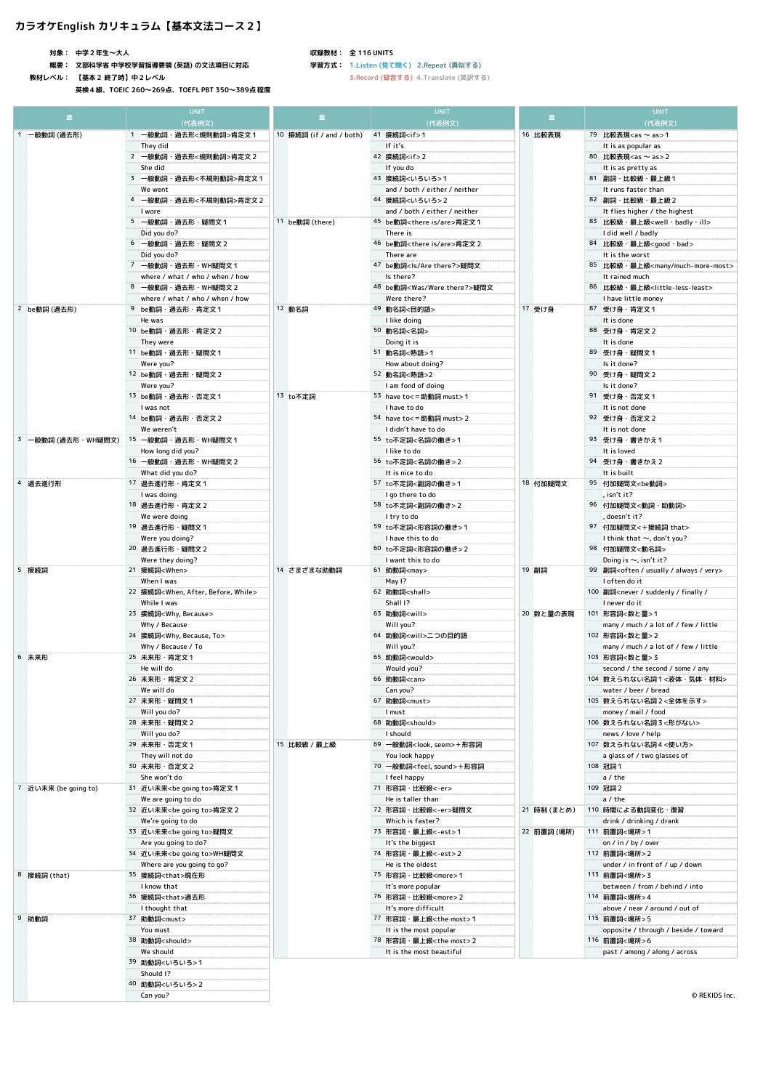# **カラオケEnglish カリキュラム【基本文法コース2】**

**対象: 中学2年生〜大人**

**概要: 文部科学省 中学校学習指導要領 (英語) の文法項目に対応**

**教材レベル: 【基本2 終了時】中2レベル**

**英検4級、TOEIC 260〜269点、TOEFL PBT 350〜389点程度**

#### **収録教材: 全 116 UNITS**

**学習方式: 1.Listen (見て聞く) 2.Repeat (真似する)**

| 音                    | <b>UNIT</b>                                                 |                          | <b>UNIT</b>                                                    | 萱           | <b>UNIT</b>                                                                       |
|----------------------|-------------------------------------------------------------|--------------------------|----------------------------------------------------------------|-------------|-----------------------------------------------------------------------------------|
|                      | (代表例文)                                                      |                          | (代表例文)                                                         |             | (代表例文)                                                                            |
| 1 一般動詞 (過去形)         | 1 一般動詞·過去形<規則動詞>肯定文1<br>They did                            | 10 接続詞 (if / and / both) | 41 接続詞 <if>1<br/>If it's</if>                                  | 16 比較表現     | 79 比較表現 <as as="" ~="">1<br/>It is as popular as</as>                             |
|                      | 2 一般動詞·過去形<規則動詞>肯定文 2                                       |                          | 42 接続詞 <if>2</if>                                              |             | 80 比較表現 <as as="" ~=""> 2</as>                                                    |
|                      | She did                                                     |                          | If you do                                                      |             | It is as pretty as                                                                |
|                      | 3 一般動詞·過去形<不規則動詞>肯定文1                                       |                          | 43 接続詞<いろいろ>1                                                  |             | 81 副詞・比較級・最上級1                                                                    |
|                      | We went                                                     |                          | and / both / either / neither                                  |             | It runs faster than                                                               |
|                      | 4 一般動詞·過去形<不規則動詞>肯定文 2                                      |                          | 44 接続詞<いろいろ>2<br>and / both / either / neither                 |             | 82 副詞·比較級·最上級2                                                                    |
|                      | I wore<br>5 一般動詞・過去形・疑問文1                                   | 11 be動詞 (there)          | 45 be動詞 <there are="" is="">肯定文1</there>                       |             | It flies higher / the highest<br>83 比較級 最上級 <well badly="" ill=""></well>         |
|                      | Did you do?                                                 |                          | There is                                                       |             | I did well / badly                                                                |
|                      | 6 一般動詞·過去形·疑問文 2                                            |                          | 46 be動詞 <there are="" is="">肯定文 2</there>                      |             | 84 比較級 · 最上級 <good bad="" ·=""></good>                                            |
|                      | Did you do?                                                 |                          | There are                                                      |             | It is the worst                                                                   |
|                      | 7 一般動詞·過去形·WH疑問文1                                           |                          | 47 be動詞 <is are="" there?="">疑問文</is>                          |             | 85 比較級 · 最上級 <many much-more-most=""></many>                                      |
|                      | where / what / who / when / how<br>8 一般動詞·過去形·WH疑問文2        |                          | Is there?<br>48 be動詞 <was there?="" were="">疑問文</was>          |             | It rained much<br>86 比較級·最上級 <little-less-least></little-less-least>              |
|                      | where / what / who / when / how                             |                          | Were there?                                                    |             | I have little money                                                               |
| 2 be動詞 (過去形)         | 9 be動詞·過去形·肯定文1                                             | 12 動名詞                   | 49 動名詞<目的語>                                                    | 17 受け身      | 87 受け身・肯定文1                                                                       |
|                      | He was                                                      |                          | I like doing                                                   |             | It is done                                                                        |
|                      | 10 be動詞 · 過去形 · 肯定文 2                                       |                          | 50 動名詞<名詞>                                                     |             | 88 受け身・肯定文2                                                                       |
|                      | They were<br>11 be動詞·過去形·疑問文1                               |                          | Doing it is<br>51 動名詞<熟語>1                                     |             | It is done<br>89 受け身 - 疑問文1                                                       |
|                      | Were you?                                                   |                          | How about doing?                                               |             | Is it done?                                                                       |
|                      | 12 be動詞 · 過去形 · 疑問文 2                                       |                          | 52 動名詞<熟語>2                                                    |             | 90 受け身・疑問文2                                                                       |
|                      | Were you?                                                   |                          | I am fond of doing                                             |             | Is it done?                                                                       |
|                      | 13 be動詞·過去形·否定文1                                            | 13 to不定詞                 | 53 have to<= 助動詞 must>1                                        |             | 91 受け身・否定文1                                                                       |
|                      | I was not<br>14 be動詞·過去形·否定文2                               |                          | I have to do<br>54 have to<= 助動詞 must>2                        |             | It is not done<br>92 受け身・否定文2                                                     |
|                      | We weren't                                                  |                          | I didn't have to do                                            |             | It is not done                                                                    |
|                      | 3   一般動詞 (過去形・WH疑問文)   15   一般動詞・過去形・WH疑問文1                 |                          | 55 to不定詞<名詞の働き>1                                               |             | 93 受け身 書きかえ1                                                                      |
|                      | How long did you?                                           |                          | I like to do                                                   |             | It is loved                                                                       |
|                      | 16 一般動詞・過去形・WH疑問文 2                                         |                          | 56 to不定詞<名詞の働き>2                                               |             | 94 受け身 書きかえ2                                                                      |
|                      | What did you do?                                            |                          | It is nice to do                                               |             | It is built                                                                       |
| 4 過去進行形              | 17 過去進行形・肯定文1<br>I was doing                                |                          | 57 to不定詞<副詞の働き>1<br>I go there to do                           | 18 付加疑問文    | 95 付加疑問文 <be動詞><br/>, isn't it?</be動詞>                                            |
|                      | 18 過去進行形 · 肯定文 2                                            |                          | 58 to不定詞<副詞の働き>2                                               |             | 96 付加疑問文<動詞·助動詞:                                                                  |
|                      | We were doing                                               |                          | I try to do                                                    |             | , doesn't it?                                                                     |
|                      | 19 過去進行形・疑問文1                                               |                          | 59 to不定詞<形容詞の働き>1                                              |             | 97 付加疑問文<+接続詞 that>                                                               |
|                      | Were you doing?                                             |                          | I have this to do                                              |             | I think that $\sim$ , don't you?                                                  |
|                      | 20 過去進行形 · 疑問文 2                                            |                          | 60 to不定詞<形容詞の働き>2                                              |             | 98 付加疑問文<動名詞>                                                                     |
| 5 接続詞                | Were they doing?<br>21 接続詞 <when></when>                    | 14 さまざまな助動詞              | I want this to do<br>61 助動詞 <may></may>                        | 19 副詞       | Doing is $\sim$ , isn't it?<br>99 副詞 <often always="" usually="" very=""></often> |
|                      | When I was                                                  |                          | May 1?                                                         | 20 数と量の表現   | I often do it                                                                     |
|                      | 22 接続詞 <when, after,="" before,="" while=""></when,>        |                          | 62 助動詞 <shall></shall>                                         |             | 100 副詞 <never <="" finally="" suddenly="" td=""></never>                          |
|                      | While I was                                                 |                          | Shall I?                                                       |             | I never do it                                                                     |
|                      | 23 接続詞 <why, because=""></why,>                             |                          | 63 助動詞 <will></will>                                           |             | 101 形容詞<数と量>1                                                                     |
|                      | Why / Because<br>24 接続詞 <why, because,="" to=""></why,>     |                          | Will you?<br>64 助動詞 <will>二つの目的語</will>                        |             | many / much / a lot of / few / little<br>102 形容詞<数と量>2                            |
|                      | Why / Because / To                                          |                          | Will you?                                                      |             | many / much / a lot of / few / little                                             |
| 6 未来形                | 25 未来形·肯定文1                                                 |                          | 65 助動詞 <would></would>                                         |             | 103 形容詞<数と量>3                                                                     |
|                      | He will do                                                  |                          | Would you?                                                     |             | second / the second / some / any                                                  |
|                      | 26 未来形 · 肯定文 2<br>We will do                                |                          | 66 助動詞 <can><br/>Can you?</can>                                |             | 104 数えられない名詞1<液体・気体・材料><br>water / beer / bread                                   |
|                      | 27 未来形·疑問文1                                                 |                          | 67 助動詞 <must></must>                                           |             | 105 数えられない名詞 2 <全体を示す>                                                            |
|                      | Will you do?                                                |                          | I must                                                         |             | money / mail / food                                                               |
|                      | 28 未来形·疑問文 2                                                |                          | 68 助動詞 <should></should>                                       |             | 106 数えられない名詞3<形がない>                                                               |
|                      | Will you do?                                                |                          | I should                                                       |             | news / love / help                                                                |
|                      | 29 未来形 · 否定文 1<br>They will not do                          | 15 比較級 / 最上級             | 69 一般動詞 <look, seem="">+形容詞<br/>You look happy</look,>         |             | 107 数えられない名詞4<使い方><br>a glass of / two glasses of                                 |
|                      | 30 未来形 · 否定文 2                                              |                          | 70 一般動詞 <feel, sound="">+形容詞</feel,>                           |             | 108 冠詞1                                                                           |
|                      | She won't do                                                |                          | I feel happy                                                   |             | a/the                                                                             |
| 7 近い未来 (be going to) | 31 近い未来 <be going="" to="">肯定文1</be>                        |                          | 71 形容詞 · 比較級<-er>                                              |             | 109 冠詞2                                                                           |
|                      | We are going to do                                          |                          | He is taller than                                              |             | a/the                                                                             |
|                      | 32 近い未来 <be going="" to="">肯定文 2<br/>We're going to do</be> |                          | 72 形容詞 · 比較級<-er>疑問文<br>Which is faster?                       | 21 時制 (まとめ) | 110 時間による動詞変化・復習<br>drink / drinking / drank                                      |
|                      | 33 近い未来 <be going="" to="">疑問文</be>                         |                          | 73 形容詞 · 最上級<-est>1                                            | 22 前置詞 (場所) | <b>: 111 前置詞&lt;場所&gt;1</b>                                                       |
|                      | Are you going to do?                                        |                          | It's the biggest                                               |             | on / in / by / over                                                               |
|                      | 34 近い未来 <be going="" to="">WH疑問文</be>                       |                          | 74 形容詞 · 最上級<-est>2                                            |             | 112 前置詞<場所>2                                                                      |
|                      | Where are you going to go?                                  |                          | He is the oldest                                               |             | under / in front of / up / down                                                   |
| 8 接続詞 (that)         | 35 接続詞 <that>現在形<br/>I know that</that>                     |                          | <sup>75</sup> 形容詞 · 比較級 <more>1<br/>It's more popular</more>   |             | 113 前置詞<場所>3<br>between / from / behind / into                                    |
|                      | 36 接続詞 <that>過去形</that>                                     |                          | 76 形容詞 · 比較級 <more>2</more>                                    |             | 114 前置詞<場所>4                                                                      |
|                      | I thought that                                              |                          | It's more difficult                                            |             | above / near / around / out of                                                    |
| 9 助動詞                | 37 助動詞 <must></must>                                        |                          | 77 形容詞 · 最上級 <the most="">1</the>                              |             | 115 前置詞<場所>5                                                                      |
|                      | You must                                                    |                          | It is the most popular                                         |             | opposite / through / beside / toward                                              |
|                      | 38 助動詞 <should><br/>We should</should>                      |                          | 78 形容詞 · 最上級 <the most="">2<br/>It is the most beautiful</the> |             | 116 前置詞<場所>6<br>past / among / along / across                                     |
|                      | 39 助動詞<いろいろ>1                                               |                          |                                                                |             |                                                                                   |
|                      | Should I?                                                   |                          |                                                                |             |                                                                                   |
|                      | 40 助動詞<いろいろ>2                                               |                          |                                                                |             |                                                                                   |
|                      | Can you?                                                    |                          |                                                                |             | © REKIDS Inc.                                                                     |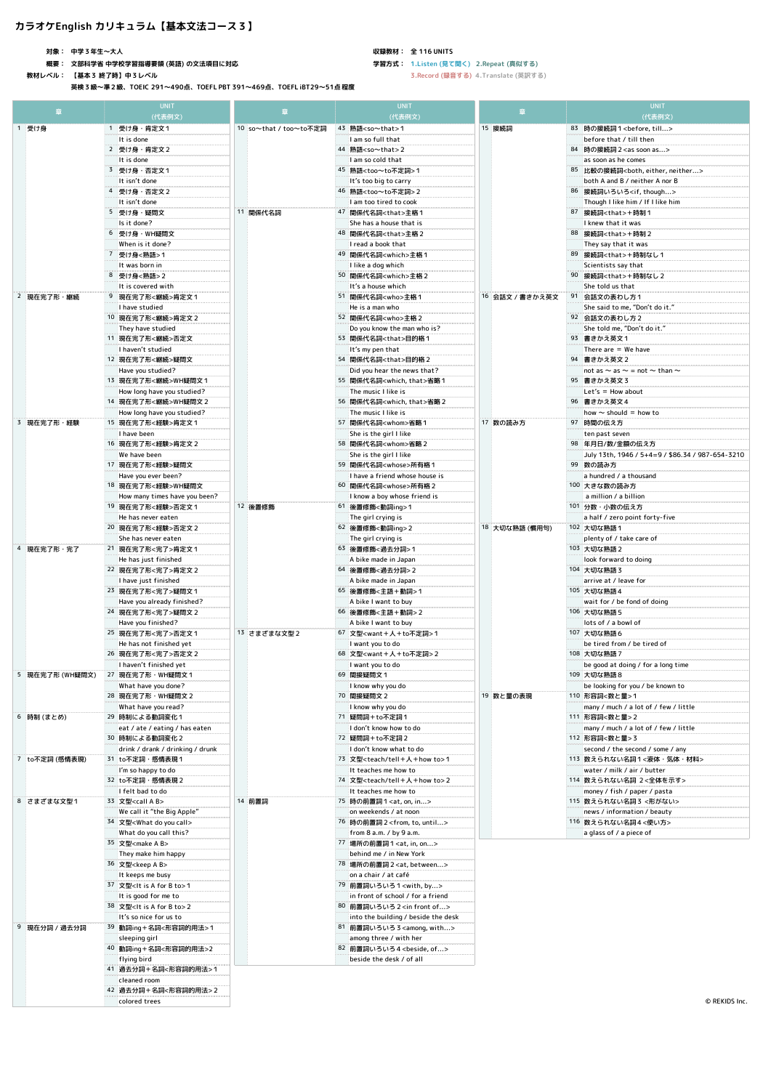## **カラオケEnglish カリキュラム【基本文法コース3】**

**対象: 中学3年生〜大人**

**概要: 文部科学省 中学校学習指導要領 (英語) の文法項目に対応**

**教材レベル: 【基本3 終了時】中3レベル**

**英検3級〜準2級、TOEIC 291〜490点、TOEFL PBT 391〜469点、TOEFL iBT29〜51点程度**

#### **収録教材: 全 116 UNITS**

**学習方式: 1.Listen (見て聞く) 2.Repeat (真似する)**

|                 | <b>UNIT</b><br>(代表例文)                                                     |                        | <b>UNIT</b><br>(代表例文)                                                         |                 | <b>UNIT</b><br>(代表例文)                                               |
|-----------------|---------------------------------------------------------------------------|------------------------|-------------------------------------------------------------------------------|-----------------|---------------------------------------------------------------------|
| 1 受け身           | 1 受け身・肯定文1                                                                | 10 so~that / too~to不定詞 | 43 熟語 <so~that>1</so~that>                                                    | 15 接続詞          | 83 時の接続詞1 <before, till=""></before,>                               |
|                 | It is done                                                                |                        | I am so full that                                                             |                 | before that / till then                                             |
|                 | 2 受け身・肯定文2                                                                |                        | 44 熟語 <so~that>2</so~that>                                                    |                 | 84 時の接続詞 2 <as as="" soon=""></as>                                  |
|                 | It is done                                                                |                        | I am so cold that                                                             |                 | as soon as he comes                                                 |
|                 | 3 受け身・否定文1                                                                |                        | 45 熟語 <too~to不定詞> 1</too~to不定詞>                                               |                 | 85 比較の接続詞 <both, either,="" neither:<="" td=""></both,>             |
|                 | It isn't done                                                             |                        | It's too big to carry                                                         |                 | both A and B / neither A nor B                                      |
|                 | 4 受け身・否定文2                                                                |                        | 46 熟語 <too~to不定詞> 2</too~to不定詞>                                               |                 | 86 接続詞いろいろ <if, though=""></if,>                                    |
|                 | It isn't done<br>5 受け身・疑問文                                                | 11 関係代名詞               | I am too tired to cook<br>47 関係代名詞 <that>主格1</that>                           |                 | Though I like him / If I like him<br>87 接続詞 <that>+時制1</that>       |
|                 | Is it done?                                                               |                        | She has a house that is                                                       |                 | I knew that it was                                                  |
|                 | 6 受け身・WH疑問文                                                               |                        | 48 関係代名詞 <that>主格2</that>                                                     |                 | 88 接続詞 <that>+時制 2</that>                                           |
|                 | When is it done?                                                          |                        | I read a book that                                                            |                 | They say that it was                                                |
|                 | 7 受け身<熟語>1                                                                |                        | 49 関係代名詞 <which>主格1</which>                                                   |                 | 89 接続詞 <that>+時制なし1</that>                                          |
|                 | It was born in                                                            |                        | I like a dog which                                                            |                 | Scientists say that                                                 |
|                 | 8 受け身<熟語>2                                                                |                        | 50 関係代名詞 <which>主格2</which>                                                   |                 | 90 接続詞 <that>+時制なし2</that>                                          |
| 2 現在完了形・継続      | It is covered with<br>9 現在完了形<継続>肯定文1                                     |                        | It's a house which<br>51 関係代名詞 <who>主格1</who>                                 | 16 会話文 / 書きかえ英文 | She told us that<br>91 会話文の表わし方1                                    |
|                 | I have studied                                                            |                        | He is a man who                                                               |                 | She said to me, "Don't do it.                                       |
|                 | 10 現在完了形<継続>肯定文 2                                                         |                        | 52 関係代名詞 <who>主格2</who>                                                       |                 | 92 会話文の表わし方2                                                        |
|                 | They have studied                                                         |                        | Do you know the man who is?                                                   |                 | She told me, "Don't do it."                                         |
|                 | 11 現在完了形<継続>否定文                                                           |                        | 53 関係代名詞 <that>目的格1</that>                                                    |                 | 93 書きかえ英文1                                                          |
|                 | I haven't studied                                                         |                        | It's my pen that                                                              |                 | There are = We have                                                 |
|                 | 12 現在完了形<継続>疑問文<br>Have you studied?                                      |                        | 54 関係代名詞 <that>目的格 2<br/>Did you hear the news that?</that>                   |                 | 94 書きかえ英文 2<br>not as $\sim$ as $\sim$ = not $\sim$ than $\sim$     |
|                 | 13 現在完了形<継続>WH疑問文1                                                        |                        | 55 関係代名詞 <which, that="">省略1</which,>                                         |                 | 95 書きかえ英文3                                                          |
|                 | How long have you studied?                                                |                        | The music I like is                                                           |                 | $Let's = How about$                                                 |
|                 | 14 現在完了形<継続>WH疑問文2                                                        |                        | 56 関係代名詞 <which, that="">省略2</which,>                                         |                 | 96 書きかえ英文4                                                          |
|                 | How long have you studied?                                                |                        | The music I like is                                                           |                 | how $\sim$ should = how to                                          |
| 3 現在完了形·経験      | 15 現在完了形<経験>肯定文1                                                          |                        | 57 関係代名詞 <whom>省略1</whom>                                                     | 17 数の読み方        | 97 時間の伝え方                                                           |
|                 | I have been                                                               |                        | She is the girl I like                                                        |                 | ten past seven                                                      |
|                 | 16 現在完了形<経験>肯定文 2<br>We have been                                         |                        | 58 関係代名詞 <whom>省略2<br/>She is the girl I like</whom>                          |                 | 98 年月日/数/金額の伝え方<br>July 13th, 1946 / 5+4=9 / \$86.34 / 987-654-3210 |
|                 | 17 現在完了形<経験>疑問文                                                           |                        | 59 関係代名詞 <whose>所有格1</whose>                                                  |                 | 99 数の読み方                                                            |
|                 | Have you ever been?                                                       |                        | I have a friend whose house is                                                |                 | a hundred / a thousand                                              |
|                 | 18 現在完了形<経験>WH疑問文                                                         |                        | 60 関係代名詞 <whose>所有格2</whose>                                                  |                 | 100 大きな数の読み方                                                        |
|                 | How many times have you been?                                             |                        | I know a boy whose friend is                                                  |                 | a million / a billion                                               |
|                 | 19 現在完了形<経験>否定文1                                                          | 12 後置修飾                | 61 後置修飾<動詞ing>1                                                               |                 | 101 分数・小数の伝え方                                                       |
|                 | He has never eaten                                                        |                        | The girl crying is                                                            |                 | a half / zero point forty-five                                      |
|                 | 20 現在完了形<経験>否定文 2<br>She has never eaten                                  |                        | 62 後置修飾<動詞ing> 2<br>The girl crying is                                        | 18 大切な熟語 (慣用句)  | 102 大切な熟語1<br>plenty of / take care of                              |
| 4 現在完了形·完了      | 21 現在完了形<完了>肯定文 1                                                         |                        | 63 後置修飾<過去分詞>1                                                                |                 | 103 大切な熟語2                                                          |
|                 | He has just finished                                                      |                        | A bike made in Japan                                                          |                 | look forward to doing                                               |
|                 | 22 現在完了形<完了>肯定文 2                                                         |                        | 64 後置修飾<過去分詞>2                                                                |                 | 104 大切な熟語3                                                          |
|                 | I have just finished                                                      |                        | A bike made in Japan                                                          |                 | arrive at / leave for                                               |
|                 | 23 現在完了形<完了>疑問文 1                                                         |                        | <b>65 後置修飾&lt;主語+動詞&gt;1</b>                                                  |                 | 105 大切な熟語4                                                          |
|                 | Have you already finished?<br>24 現在完了形<完了>疑問文 2                           |                        | A bike I want to buy<br>66 後置修飾<主語+動詞>2                                       |                 | wait for / be fond of doing<br>106 大切な熟語5                           |
|                 | Have you finished?                                                        |                        | A bike I want to buy                                                          |                 | lots of / a bowl of                                                 |
|                 | 25 現在完了形<完了>否定文1                                                          | 13 さまざまな文型2            | 67 文型 <want+人+to不定詞>1</want+人+to不定詞>                                          |                 | 107 大切な熟語6                                                          |
|                 | He has not finished yet                                                   |                        | I want you to do                                                              |                 | be tired from / be tired of                                         |
|                 | 26 現在完了形<完了>否定文 2                                                         |                        | 68 文型 <want+人+to不定詞> 2</want+人+to不定詞>                                         |                 | 108 大切な熟語7                                                          |
|                 | I haven't finished yet                                                    |                        | I want you to do                                                              | 19 数と量の表現       | be good at doing / for a long time                                  |
| 5 現在完了形 (WH疑問文) | 27 現在完了形·WH疑問文1                                                           |                        | 69 間接疑問文1                                                                     |                 | 109 大切な熟語8                                                          |
|                 | What have you done?<br>28 現在完了形 · WH疑問文 2                                 |                        | I know why you do<br>70 間接疑問文 2                                               |                 | be looking for you / be known to<br>110 形容詞<数と量>1                   |
|                 | What have you read?                                                       |                        | I know why you do                                                             |                 | many / much / a lot of / few / little                               |
| 6 時制 (まとめ)      | 29 時制による動詞変化1                                                             |                        | 71 疑問詞+to不定詞1                                                                 |                 | 111 形容詞<数と量>2                                                       |
|                 | eat / ate / eating / has eaten                                            |                        | I don't know how to do                                                        |                 | many / much / a lot of / few / little                               |
|                 | 30 時制による動詞変化2                                                             |                        | 72 疑問詞+to不定詞 2                                                                |                 | 112 形容詞<数と量> 3                                                      |
| 7 to不定詞 (感情表現)  | drink / drank / drinking / drunk<br>31 to不定詞·感情表現1                        |                        | I don't know what to do<br>73 文型 <teach tell+人+how="" to="">1</teach>         |                 | second / the second / some / any<br>113 数えられない名詞1<液体・気体・材料>         |
|                 | I'm so happy to do                                                        |                        | It teaches me how to                                                          |                 | water / milk / air / butter                                         |
|                 | 32 to不定詞 · 感情表現 2                                                         |                        | 74 文型 <teach tell+人+how="" to="">2</teach>                                    |                 | 114 数えられない名詞 2<全体を示す>                                               |
|                 | I felt bad to do                                                          |                        | It teaches me how to                                                          |                 | money / fish / paper / pasta                                        |
| 8 さまざまな文型1      | 33 文型 <call a="" b=""></call>                                             | 14 前置詞                 | 75 時の前置詞 1 <at, in="" on,=""></at,>                                           |                 | 115 数えられない名詞3 <形がない>                                                |
|                 | We call it "the Big Apple"                                                |                        | on weekends / at noon                                                         |                 | news / information / beauty                                         |
|                 | 34 文型 <what call="" do="" you=""></what>                                  |                        | 76 時の前置詞 2 <from, to,="" until=""><br/>from 8 a.m. / by 9 a.m.</from,>        |                 | 116 数えられない名詞4<使い方>                                                  |
|                 | What do you call this?<br>35 文型 <make a="" b=""></make>                   |                        | 77 場所の前置詞1 <at, in,="" on=""></at,>                                           |                 | a glass of / a piece of                                             |
|                 | They make him happy                                                       |                        | behind me / in New York                                                       |                 |                                                                     |
|                 | 36 文型 <keep a="" b=""></keep>                                             |                        | 78 場所の前置詞 2 <at, between=""></at,>                                            |                 |                                                                     |
|                 | It keeps me busy                                                          |                        | on a chair / at café                                                          |                 |                                                                     |
|                 | 37 文型 <it a="" b="" for="" is="" to="">1</it>                             |                        | 79 前置詞いろいろ1 <with, by=""></with,>                                             |                 |                                                                     |
|                 | It is good for me to                                                      |                        | in front of school / for a friend                                             |                 |                                                                     |
|                 | 38 文型 <it a="" b="" for="" is="" to=""> 2<br/>It's so nice for us to</it> |                        | 80 前置詞いろいろ 2 <in front="" of=""><br/>into the building / beside the desk</in> |                 |                                                                     |
| 9 現在分詞 / 過去分詞   | 39 動詞ing+名詞<形容詞的用法>1                                                      |                        | 81 前置詞いろいろ 3 <among, with=""></among,>                                        |                 |                                                                     |
|                 | sleeping girl                                                             |                        | among three / with her                                                        |                 |                                                                     |
|                 | 40 動詞ing+名詞<形容詞的用法>2                                                      |                        | 82 前置詞いろいろ4 <beside, of=""></beside,>                                         |                 |                                                                     |
|                 | flying bird                                                               |                        | beside the desk / of all                                                      |                 |                                                                     |
|                 | 41 過去分詞+名詞<形容詞的用法>1                                                       |                        |                                                                               |                 |                                                                     |
|                 | cleaned room                                                              |                        |                                                                               |                 |                                                                     |
|                 | 42 過去分詞+名詞<形容詞的用法>2<br>colored trees                                      |                        |                                                                               |                 | © REKIDS Inc                                                        |
|                 |                                                                           |                        |                                                                               |                 |                                                                     |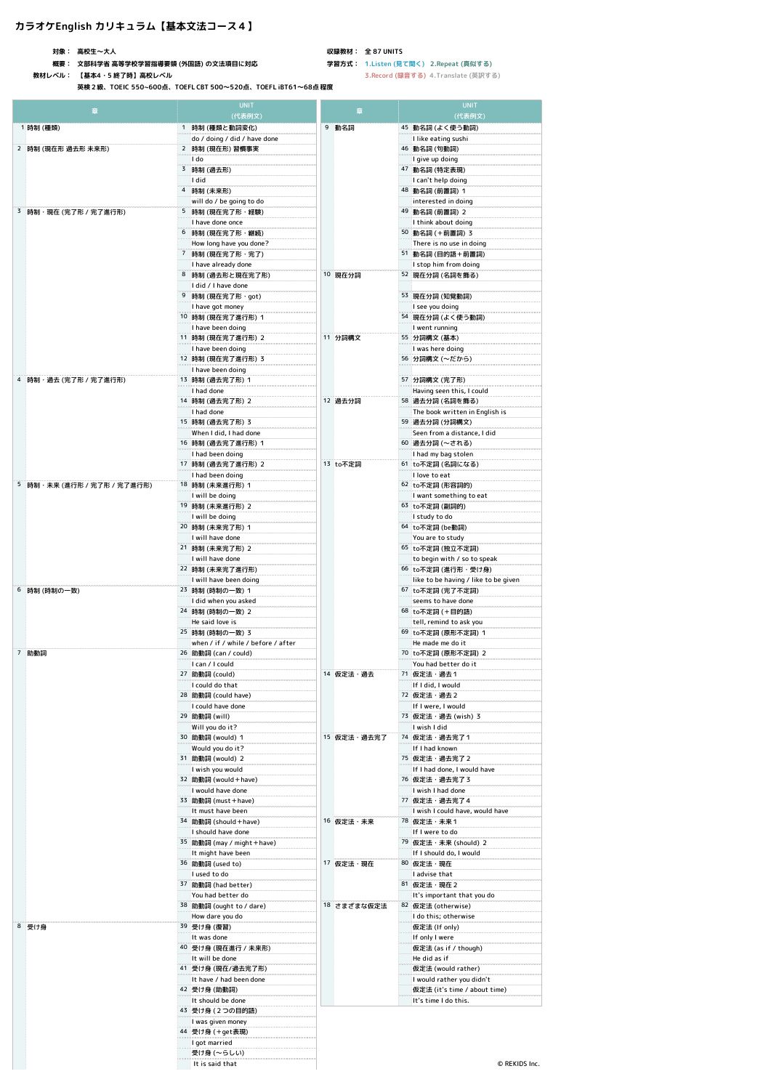## **カラオケEnglish カリキュラム【基本文法コース4】**

**対象: 高校生〜大人**

**概要: 文部科学省 高等学校学習指導要領 (外国語) の文法項目に対応**

**教材レベル: 【基本4・5 終了時】高校レベル**

**英検2級、TOEIC 550~600点、TOEFL CBT 500〜520点、TOEFL iBT61〜68点 程度**

**収録教材: 全 87 UNITS 学習方式: 1.Listen (見て聞く) 2.Repeat (真似する)**

| 章                           | <b>UNIT</b><br>(代表例文)                                                         | <b>UNIT</b><br>章<br>(代表例文)                                        |
|-----------------------------|-------------------------------------------------------------------------------|-------------------------------------------------------------------|
| 1 時制 (種類)                   | 1 時制 (種類と動詞変化)                                                                | 9 動名詞<br>45 動名詞 (よく使う動詞)                                          |
|                             | do / doing / did / have done<br>2 時制 (現在形) 習慣事実                               | I like eating sushi                                               |
| 2 時制 (現在形 過去形 未来形)          | I do                                                                          | <b>46 動名詞 (句動詞)</b><br>I give up doing                            |
|                             | 3 時制 (過去形)                                                                    | 47 動名詞 (特定表現)                                                     |
|                             | I did                                                                         | I can't help doing                                                |
|                             | 4 時制 (未来形)                                                                    | 48 動名詞 (前置詞) 1                                                    |
|                             | will do / be going to do                                                      | interested in doing                                               |
| 3 時制・現在 (完了形 / 完了進行形)       | 5 時制 (現在完了形・経験)                                                               | 49 動名詞 (前置詞) 2                                                    |
|                             | I have done once                                                              | I think about doing                                               |
|                             | 6 時制 (現在完了形·継続)                                                               | 50 動名詞 (+前置詞) 3                                                   |
|                             | How long have you done?                                                       | There is no use in doing                                          |
|                             | 7 時制 (現在完了形·完了)                                                               | 51 動名詞 (目的語+前置詞)                                                  |
|                             | I have already done<br>8 時制 (過去形と現在完了形)                                       | I stop him from doing<br>10 現在分詞<br>52 現在分詞 (名詞を飾る)               |
|                             | I did / I have done                                                           |                                                                   |
|                             | 9 時制 (現在完了形 · got)                                                            | 53 現在分詞 (知覚動詞)                                                    |
|                             | I have got money                                                              | I see you doing                                                   |
|                             | 10 時制 (現在完了進行形) 1                                                             | 54 現在分詞 (よく使う動詞)                                                  |
|                             | I have been doing                                                             | I went running                                                    |
|                             | 11 時制 (現在完了進行形) 2                                                             | 11 分詞構文<br>55 分詞構文 (基本)                                           |
|                             | I have been doing                                                             | I was here doing                                                  |
|                             | 12 時制 (現在完了進行形) 3                                                             | 56 分詞構文 (~だから)                                                    |
|                             | I have been doing                                                             |                                                                   |
| 4 時制・過去 (完了形 / 完了進行形)       | 13 時制 (過去完了形) 1<br>I had done                                                 | 57 分詞構文 (完了形)                                                     |
|                             | 14 時制 (過去完了形) 2                                                               | Having seen this, I could<br>12 過去分詞<br>58 過去分詞 (名詞を飾る)           |
|                             | I had done                                                                    | The book written in English is                                    |
|                             | 15 時制 (過去完了形) 3                                                               | 59 過去分詞 (分詞構文)                                                    |
|                             | When I did, I had done                                                        | Seen from a distance, I did                                       |
|                             | 16 時制 (過去完了進行形) 1                                                             | 60 過去分詞 (~される)                                                    |
|                             | I had been doing                                                              | I had my bag stolen                                               |
|                             | 17 時制 (過去完了進行形) 2                                                             | 13 to不定詞<br>61 to不定詞 (名詞になる)                                      |
|                             | I had been doing                                                              | I love to eat                                                     |
| 5 時制・未来 (進行形 / 完了形 / 完了進行形) | 18 時制 (未来進行形) 1                                                               | 62 to不定詞 (形容詞的)                                                   |
|                             | I will be doing<br>19 時制 (未来進行形) 2                                            | I want something to eat<br>63 to不定詞 (副詞的)                         |
|                             | I will be doing                                                               | I study to do                                                     |
|                             | 20 時制 (未来完了形) 1                                                               | 64 to不定詞 (be動詞)                                                   |
|                             | I will have done                                                              | You are to study                                                  |
|                             | 21 時制 (未来完了形) 2                                                               | 65 to不定詞 (独立不定詞)                                                  |
|                             | I will have done                                                              | to begin with / so to speak                                       |
|                             | 22 時制 (未来完了進行形)                                                               | 66 to不定詞 (進行形・受け身)                                                |
|                             | I will have been doing                                                        | like to be having / like to be given                              |
| 6 時制 (時制の一致)                | 23 時制 (時制の一致) 1                                                               | 67 to不定詞 (完了不定詞)<br>seems to have done                            |
|                             | I did when you asked<br>24 時制 (時制の一致) 2                                       | 68 to不定詞 (+目的語)                                                   |
|                             | He said love is                                                               | tell, remind to ask you                                           |
|                             | 25 時制 (時制の一致) 3                                                               | 69 to不定詞 (原形不定詞) 1                                                |
|                             | when / if / while / before / after                                            | He made me do it                                                  |
| 7 助動詞                       | 26 助動詞 (can / could)                                                          | 70 to不定詞 (原形不定詞) 2                                                |
|                             | I can / I could                                                               | You had better do it                                              |
|                             | 27 助動詞 (could)<br>I could do that<br>28 助動詞 (could have)<br>I could have done | 14 仮定法・過去<br><b>71 仮定法・過去1</b>                                    |
|                             |                                                                               | If I did, I would                                                 |
|                             |                                                                               | 72 仮定法·過去 2                                                       |
|                             | 29 助動詞 (will)                                                                 | If I were, I would<br>73 仮定法・過去 (wish) 3                          |
|                             | Will you do it?                                                               | I wish I did                                                      |
|                             | 30 助動詞 (would) 1                                                              | 15 仮定法·過去完了<br>74 仮定法・過去完了1                                       |
|                             | Would you do it?                                                              | If I had known                                                    |
|                             | 31 助動詞 (would) 2                                                              | 75 仮定法・過去完了2                                                      |
|                             | I wish you would                                                              | If I had done, I would have                                       |
|                             | 32 助動詞 (would + have)                                                         | 76 仮定法·過去完了3                                                      |
|                             | I would have done                                                             | I wish I had done                                                 |
|                             | 33 助動詞 (must + have)                                                          | 77 仮定法·過去完了4                                                      |
|                             | It must have been<br>34 助動詞 (should + have)                                   | I wish I could have, would have<br>16 仮定法・未来<br><b>78 仮定法・未来1</b> |
|                             | I should have done                                                            | If I were to do                                                   |
|                             | 35 助動詞 (may / might + have)                                                   | 79 仮定法 · 未来 (should) 2                                            |
|                             | It might have been                                                            | If I should do, I would                                           |
|                             | 36 助動詞 (used to)                                                              | 17 仮定法・現在<br>80 仮定法・現在                                            |
|                             | I used to do                                                                  | I advise that                                                     |
|                             | 37 助動詞 (had better)                                                           | 81 仮定法 · 現在 2                                                     |
|                             | You had better do                                                             | It's important that you do                                        |
|                             | 38 助動詞 (ought to / dare)                                                      | 18 さまざまな仮定法<br>82 仮定法 (otherwise)                                 |
| 8 受け身                       | How dare you do<br>39 受け身 (復習)                                                | I do this; otherwise<br>仮定法 (If only)                             |
|                             | It was done                                                                   | If only I were                                                    |
|                             | 40 受け身 (現在進行 / 未来形)                                                           | 仮定法 (as if / though)                                              |
|                             | It will be done                                                               | He did as if                                                      |
|                             | 41 受け身 (現在/過去完了形)                                                             | 仮定法 (would rather)                                                |
|                             | It have / had been done                                                       | I would rather you didn't                                         |
|                             | 42 受け身 (助動詞)                                                                  | 仮定法 (it's time / about time)                                      |
|                             | It should be done                                                             | It's time I do this.                                              |
|                             | 43 受け身 (2つの目的語)                                                               |                                                                   |
|                             | I was given money                                                             |                                                                   |
|                             | 44 受け身 (+get表現)                                                               |                                                                   |
|                             | I got married                                                                 |                                                                   |
|                             | 受け身 (~らしい)                                                                    |                                                                   |
|                             | It is said that                                                               | © REKIDS Inc.                                                     |